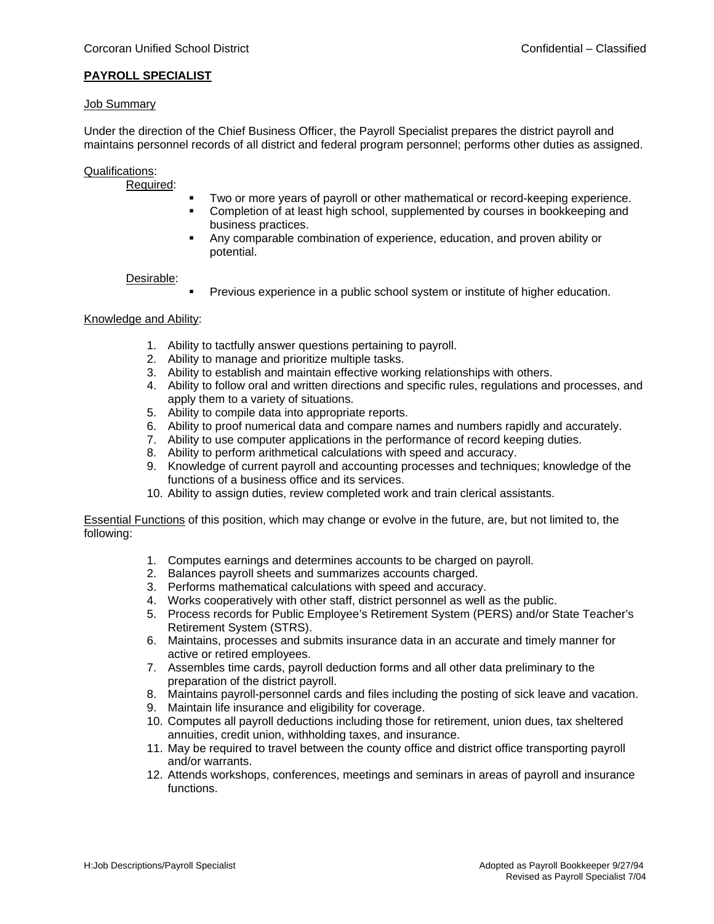## **PAYROLL SPECIALIST**

### Job Summary

Under the direction of the Chief Business Officer, the Payroll Specialist prepares the district payroll and maintains personnel records of all district and federal program personnel; performs other duties as assigned.

### Qualifications:

#### Required:

- Two or more years of payroll or other mathematical or record-keeping experience.
- Completion of at least high school, supplemented by courses in bookkeeping and business practices.
- Any comparable combination of experience, education, and proven ability or potential.

### Desirable:

Previous experience in a public school system or institute of higher education.

### Knowledge and Ability:

- 1. Ability to tactfully answer questions pertaining to payroll.
- 2. Ability to manage and prioritize multiple tasks.
- 3. Ability to establish and maintain effective working relationships with others.
- 4. Ability to follow oral and written directions and specific rules, regulations and processes, and apply them to a variety of situations.
- 5. Ability to compile data into appropriate reports.
- 6. Ability to proof numerical data and compare names and numbers rapidly and accurately.
- 7. Ability to use computer applications in the performance of record keeping duties.
- 8. Ability to perform arithmetical calculations with speed and accuracy.
- 9. Knowledge of current payroll and accounting processes and techniques; knowledge of the functions of a business office and its services.
- 10. Ability to assign duties, review completed work and train clerical assistants.

Essential Functions of this position, which may change or evolve in the future, are, but not limited to, the following:

- 1. Computes earnings and determines accounts to be charged on payroll.
- 2. Balances payroll sheets and summarizes accounts charged.
- 3. Performs mathematical calculations with speed and accuracy.
- 4. Works cooperatively with other staff, district personnel as well as the public.
- 5. Process records for Public Employee's Retirement System (PERS) and/or State Teacher's Retirement System (STRS).
- 6. Maintains, processes and submits insurance data in an accurate and timely manner for active or retired employees.
- 7. Assembles time cards, payroll deduction forms and all other data preliminary to the preparation of the district payroll.
- 8. Maintains payroll-personnel cards and files including the posting of sick leave and vacation.
- 9. Maintain life insurance and eligibility for coverage.
- 10. Computes all payroll deductions including those for retirement, union dues, tax sheltered annuities, credit union, withholding taxes, and insurance.
- 11. May be required to travel between the county office and district office transporting payroll and/or warrants.
- 12. Attends workshops, conferences, meetings and seminars in areas of payroll and insurance functions.